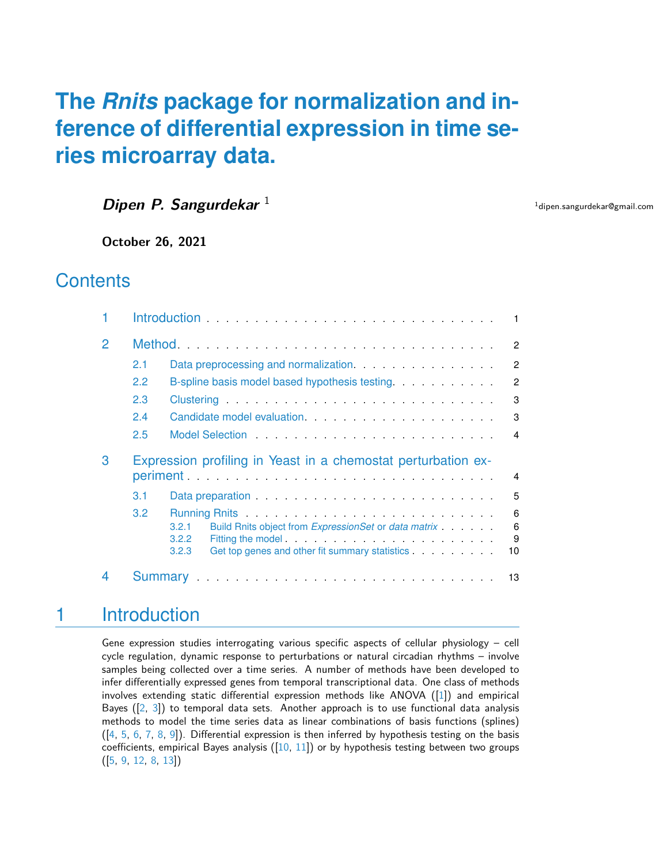# **The** *[Rnits](http://bioconductor.org/packages/Rnits)* **package for normalization and inference of differential expression in time series microarray data.**

**Dipen P. Sangurdekar**<sup>1</sup>

<sup>1</sup>dipen.sangurdekar@gmail.com

**October 26, 2021**

# **Contents**

|               | $\blacksquare$                                                     |                                                                                                                                                                                                                                     |  |  |  |  |
|---------------|--------------------------------------------------------------------|-------------------------------------------------------------------------------------------------------------------------------------------------------------------------------------------------------------------------------------|--|--|--|--|
| $\mathcal{P}$ |                                                                    |                                                                                                                                                                                                                                     |  |  |  |  |
|               | 2.1                                                                | $\overline{2}$                                                                                                                                                                                                                      |  |  |  |  |
|               | 2.2                                                                | $\mathcal{P}$<br>B-spline basis model based hypothesis testing.                                                                                                                                                                     |  |  |  |  |
|               | 2.3                                                                | 3                                                                                                                                                                                                                                   |  |  |  |  |
|               | 2.4                                                                | 3                                                                                                                                                                                                                                   |  |  |  |  |
|               | 2.5                                                                | $\overline{4}$                                                                                                                                                                                                                      |  |  |  |  |
|               | Expression profiling in Yeast in a chemostat perturbation ex-<br>4 |                                                                                                                                                                                                                                     |  |  |  |  |
| 3             |                                                                    |                                                                                                                                                                                                                                     |  |  |  |  |
|               | 3.1                                                                | 5<br>Data preparation entering the set of the set of the set of the set of the set of the set of the set of the set of the set of the set of the set of the set of the set of the set of the set of the set of the set of the set o |  |  |  |  |
|               | 3.2                                                                | 6<br>Build Rnits object from ExpressionSet or data matrix<br>6<br>3.2.1<br>9<br>3.2.2<br>Fitting the model.<br>Get top genes and other fit summary statistics<br>3.2.3<br>10                                                        |  |  |  |  |

# <span id="page-0-0"></span>1 Introduction

Gene expression studies interrogating various specific aspects of cellular physiology – cell cycle regulation, dynamic response to perturbations or natural circadian rhythms – involve samples being collected over a time series. A number of methods have been developed to infer differentially expressed genes from temporal transcriptional data. One class of methods involves extending static differential expression methods like ANOVA ([\[1\]](#page-12-1)) and empirical Bayes ([\[2,](#page-12-2) [3\]](#page-12-3)) to temporal data sets. Another approach is to use functional data analysis methods to model the time series data as linear combinations of basis functions (splines) ([\[4,](#page-12-4) [5,](#page-13-0) [6,](#page-13-1) [7,](#page-13-2) [8,](#page-13-3) [9\]](#page-13-4)). Differential expression is then inferred by hypothesis testing on the basis coefficients, empirical Bayes analysis  $([10, 11])$  $([10, 11])$  $([10, 11])$  $([10, 11])$  $([10, 11])$  or by hypothesis testing between two groups ([\[5,](#page-13-0) [9,](#page-13-4) [12,](#page-13-7) [8,](#page-13-3) [13\]](#page-13-8))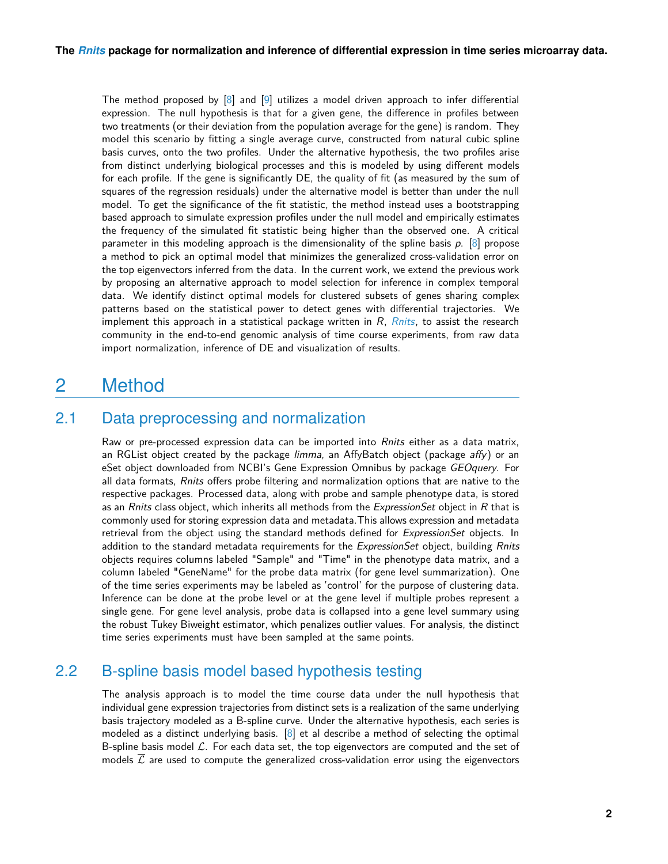The method proposed by [\[8\]](#page-13-3) and [\[9\]](#page-13-4) utilizes a model driven approach to infer differential expression. The null hypothesis is that for a given gene, the difference in profiles between two treatments (or their deviation from the population average for the gene) is random. They model this scenario by fitting a single average curve, constructed from natural cubic spline basis curves, onto the two profiles. Under the alternative hypothesis, the two profiles arise from distinct underlying biological processes and this is modeled by using different models for each profile. If the gene is significantly DE, the quality of fit (as measured by the sum of squares of the regression residuals) under the alternative model is better than under the null model. To get the significance of the fit statistic, the method instead uses a bootstrapping based approach to simulate expression profiles under the null model and empirically estimates the frequency of the simulated fit statistic being higher than the observed one. A critical parameter in this modeling approach is the dimensionality of the spline basis  $p$ . [\[8\]](#page-13-3) propose a method to pick an optimal model that minimizes the generalized cross-validation error on the top eigenvectors inferred from the data. In the current work, we extend the previous work by proposing an alternative approach to model selection for inference in complex temporal data. We identify distinct optimal models for clustered subsets of genes sharing complex patterns based on the statistical power to detect genes with differential trajectories. We implement this approach in a statistical package written in  $R$ ,  $Rnits$ , to assist the research community in the end-to-end genomic analysis of time course experiments, from raw data import normalization, inference of DE and visualization of results.

# <span id="page-1-0"></span>2 Method

## 2.1 Data preprocessing and normalization

<span id="page-1-1"></span>Raw or pre-processed expression data can be imported into Rnits either as a data matrix, an RGList object created by the package limma, an AffyBatch object (package affy) or an eSet object downloaded from NCBI's Gene Expression Omnibus by package GEOquery. For all data formats, Rnits offers probe filtering and normalization options that are native to the respective packages. Processed data, along with probe and sample phenotype data, is stored as an Rnits class object, which inherits all methods from the ExpressionSet object in R that is commonly used for storing expression data and metadata.This allows expression and metadata retrieval from the object using the standard methods defined for ExpressionSet objects. In addition to the standard metadata requirements for the ExpressionSet object, building Rnits objects requires columns labeled "Sample" and "Time" in the phenotype data matrix, and a column labeled "GeneName" for the probe data matrix (for gene level summarization). One of the time series experiments may be labeled as 'control' for the purpose of clustering data. Inference can be done at the probe level or at the gene level if multiple probes represent a single gene. For gene level analysis, probe data is collapsed into a gene level summary using the robust Tukey Biweight estimator, which penalizes outlier values. For analysis, the distinct time series experiments must have been sampled at the same points.

## 2.2 B-spline basis model based hypothesis testing

<span id="page-1-2"></span>The analysis approach is to model the time course data under the null hypothesis that individual gene expression trajectories from distinct sets is a realization of the same underlying basis trajectory modeled as a B-spline curve. Under the alternative hypothesis, each series is modeled as a distinct underlying basis. [\[8\]](#page-13-3) et al describe a method of selecting the optimal B-spline basis model  $\mathcal{L}$ . For each data set, the top eigenvectors are computed and the set of models  $\mathcal L$  are used to compute the generalized cross-validation error using the eigenvectors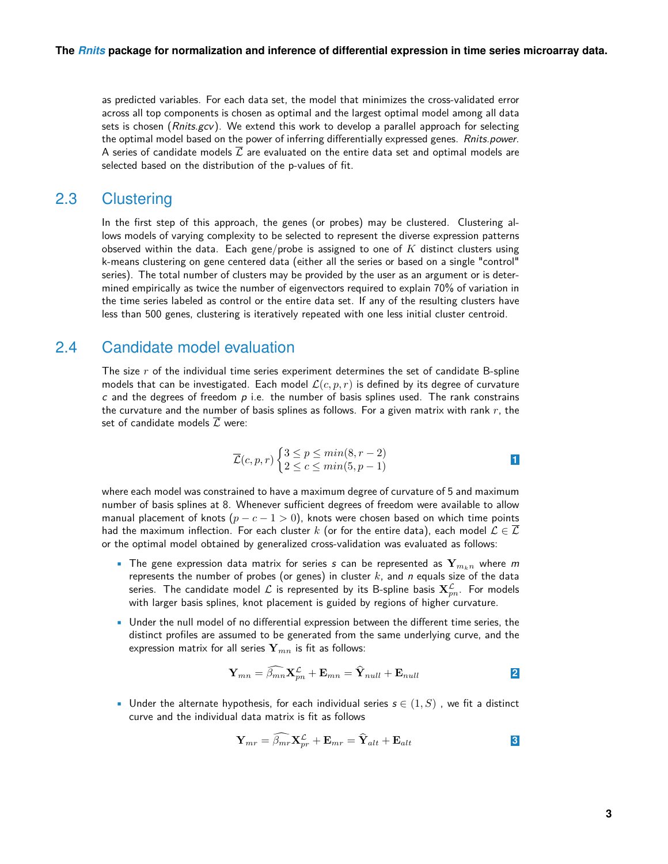as predicted variables. For each data set, the model that minimizes the cross-validated error across all top components is chosen as optimal and the largest optimal model among all data sets is chosen ( $Rnits.gcv$ ). We extend this work to develop a parallel approach for selecting the optimal model based on the power of inferring differentially expressed genes. Rnits.power. A series of candidate models  $\mathcal L$  are evaluated on the entire data set and optimal models are selected based on the distribution of the p-values of fit.

## 2.3 Clustering

<span id="page-2-0"></span>In the first step of this approach, the genes (or probes) may be clustered. Clustering allows models of varying complexity to be selected to represent the diverse expression patterns observed within the data. Each gene/probe is assigned to one of  $K$  distinct clusters using k-means clustering on gene centered data (either all the series or based on a single "control" series). The total number of clusters may be provided by the user as an argument or is determined empirically as twice the number of eigenvectors required to explain 70% of variation in the time series labeled as control or the entire data set. If any of the resulting clusters have less than 500 genes, clustering is iteratively repeated with one less initial cluster centroid.

## 2.4 Candidate model evaluation

<span id="page-2-1"></span>The size  $r$  of the individual time series experiment determines the set of candidate B-spline models that can be investigated. Each model  $\mathcal{L}(c, p, r)$  is defined by its degree of curvature c and the degrees of freedom  $p$  i.e. the number of basis splines used. The rank constrains the curvature and the number of basis splines as follows. For a given matrix with rank  $r$ , the set of candidate models  $\mathcal L$  were:

$$
\overline{\mathcal{L}}(c, p, r) \begin{cases} 3 \le p \le \min(8, r - 2) \\ 2 \le c \le \min(5, p - 1) \end{cases}
$$

where each model was constrained to have a maximum degree of curvature of 5 and maximum number of basis splines at 8. Whenever sufficient degrees of freedom were available to allow manual placement of knots ( $p - c - 1 > 0$ ), knots were chosen based on which time points had the maximum inflection. For each cluster k (or for the entire data), each model  $\mathcal{L} \in \overline{\mathcal{L}}$ or the optimal model obtained by generalized cross-validation was evaluated as follows:

- The gene expression data matrix for series s can be represented as  $Y_{m_{k,n}}$  where m represents the number of probes (or genes) in cluster  $k$ , and  $n$  equals size of the data series. The candidate model  ${\cal L}$  is represented by its B-spline basis  ${\bf X}_{pn}^{\cal L}.$  For models with larger basis splines, knot placement is guided by regions of higher curvature.
- Under the null model of no differential expression between the different time series, the distinct profiles are assumed to be generated from the same underlying curve, and the expression matrix for all series  $\mathbf{Y}_{mn}$  is fit as follows:

$$
\mathbf{Y}_{mn} = \widehat{\beta_{mn}} \mathbf{X}_{pn}^{\mathcal{L}} + \mathbf{E}_{mn} = \widehat{\mathbf{Y}}_{null} + \mathbf{E}_{null}
$$

• Under the alternate hypothesis, for each individual series  $s \in (1, S)$ , we fit a distinct curve and the individual data matrix is fit as follows

$$
\mathbf{Y}_{mr} = \widehat{\beta_{mr}} \mathbf{X}_{pr}^{\mathcal{L}} + \mathbf{E}_{mr} = \widehat{\mathbf{Y}}_{alt} + \mathbf{E}_{alt}
$$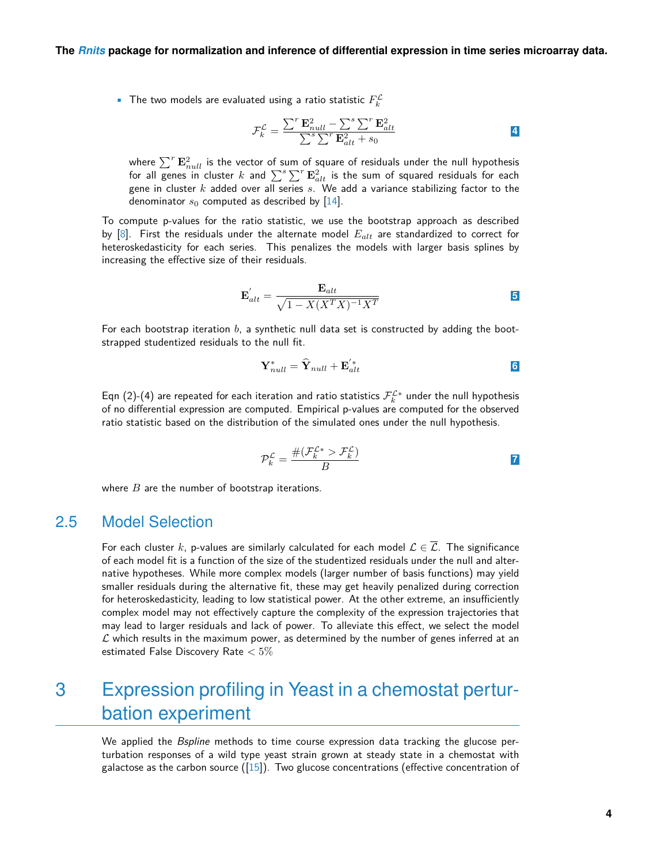• The two models are evaluated using a ratio statistic  $F_k^{\mathcal{L}}$ 

$$
\mathcal{F}_k^{\mathcal{L}} = \frac{\sum^r \mathbf{E}_{null}^2 - \sum^s \sum^r \mathbf{E}_{alt}^2}{\sum^s \sum^r \mathbf{E}_{alt}^2 + s_0}
$$

where  $\sum^r {\bf E}_{null}^2$  is the vector of sum of square of residuals under the null hypothesis for all genes in cluster  $k$  and  $\sum^s \sum^r \mathbf{E}_{alt}^2$  is the sum of squared residuals for each gene in cluster  $k$  added over all series  $s. \,$  We add a variance stabilizing factor to the denominator  $s_0$  computed as described by [\[14\]](#page-13-9).

To compute p-values for the ratio statistic, we use the bootstrap approach as described by  $[8]$ . First the residuals under the alternate model  $E_{alt}$  are standardized to correct for heteroskedasticity for each series. This penalizes the models with larger basis splines by increasing the effective size of their residuals.

$$
\mathbf{E}_{alt}^{'} = \frac{\mathbf{E}_{alt}}{\sqrt{1 - X(X^{T}X)^{-1}X^{T}}}
$$

For each bootstrap iteration  $b$ , a synthetic null data set is constructed by adding the bootstrapped studentized residuals to the null fit.

$$
\mathbf{Y}_{null}^* = \hat{\mathbf{Y}}_{null} + \mathbf{E}_{alt}^{'*}
$$

Eqn (2)-(4) are repeated for each iteration and ratio statistics  $\mathcal{F}^{\mathcal{L}*}_k$  under the null hypothesis of no differential expression are computed. Empirical p-values are computed for the observed ratio statistic based on the distribution of the simulated ones under the null hypothesis.

$$
\mathcal{P}_k^{\mathcal{L}} = \frac{\#(\mathcal{F}_k^{\mathcal{L}*} > \mathcal{F}_k^{\mathcal{L}})}{B}
$$

<span id="page-3-0"></span>where  $B$  are the number of bootstrap iterations.

### 2.5 Model Selection

For each cluster k, p-values are similarly calculated for each model  $\mathcal{L} \in \overline{\mathcal{L}}$ . The significance of each model fit is a function of the size of the studentized residuals under the null and alternative hypotheses. While more complex models (larger number of basis functions) may yield smaller residuals during the alternative fit, these may get heavily penalized during correction for heteroskedasticity, leading to low statistical power. At the other extreme, an insufficiently complex model may not effectively capture the complexity of the expression trajectories that may lead to larger residuals and lack of power. To alleviate this effect, we select the model  $\mathcal L$  which results in the maximum power, as determined by the number of genes inferred at an estimated False Discovery Rate  $< 5\%$ 

# <span id="page-3-1"></span>3 Expression profiling in Yeast in a chemostat perturbation experiment

We applied the *Bspline* methods to time course expression data tracking the glucose perturbation responses of a wild type yeast strain grown at steady state in a chemostat with galactose as the carbon source  $([15])$  $([15])$  $([15])$ . Two glucose concentrations (effective concentration of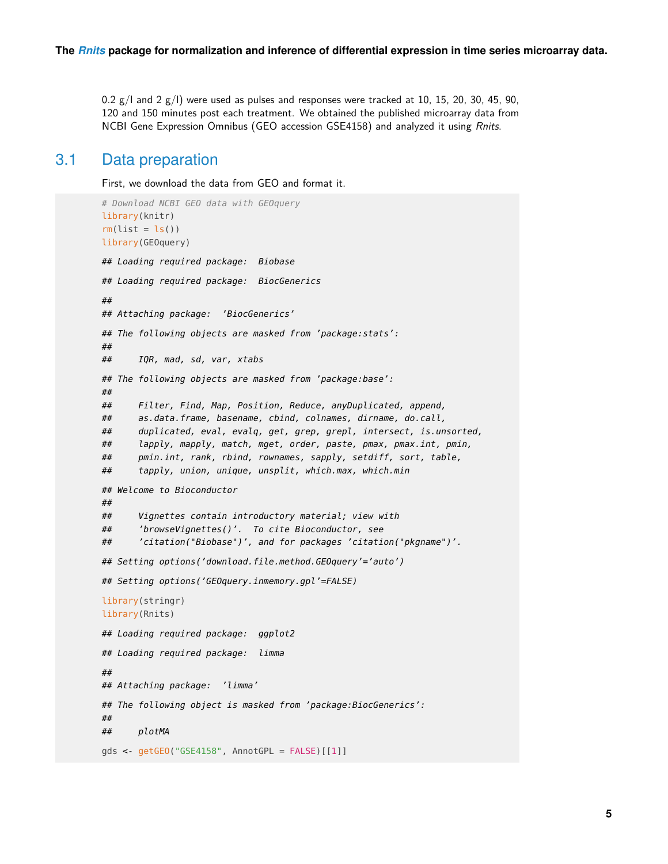<span id="page-4-0"></span>0.2  $g$ /l and 2  $g$ /l) were used as pulses and responses were tracked at 10, 15, 20, 30, 45, 90, 120 and 150 minutes post each treatment. We obtained the published microarray data from NCBI Gene Expression Omnibus (GEO accession GSE4158) and analyzed it using Rnits.

## 3.1 Data preparation

First, we download the data from GEO and format it.

```
# Download NCBI GEO data with GEOquery
library(knitr)
rm(list = ls())library(GEOquery)
## Loading required package: Biobase
## Loading required package: BiocGenerics
##
## Attaching package: 'BiocGenerics'
## The following objects are masked from 'package:stats':
##
## IQR, mad, sd, var, xtabs
## The following objects are masked from 'package:base':
##
## Filter, Find, Map, Position, Reduce, anyDuplicated, append,
## as.data.frame, basename, cbind, colnames, dirname, do.call,
## duplicated, eval, evalq, get, grep, grepl, intersect, is.unsorted,
## lapply, mapply, match, mget, order, paste, pmax, pmax.int, pmin,
## pmin.int, rank, rbind, rownames, sapply, setdiff, sort, table,
## tapply, union, unique, unsplit, which.max, which.min
## Welcome to Bioconductor
##
## Vignettes contain introductory material; view with
## 'browseVignettes()'. To cite Bioconductor, see
## 'citation("Biobase")', and for packages 'citation("pkgname")'.
## Setting options('download.file.method.GEOquery'='auto')
## Setting options('GEOquery.inmemory.gpl'=FALSE)
library(stringr)
library(Rnits)
## Loading required package: ggplot2
## Loading required package: limma
##
## Attaching package: 'limma'
## The following object is masked from 'package:BiocGenerics':
##
## plotMA
gds <- getGEO("GSE4158", AnnotGPL = FALSE)[[1]]
```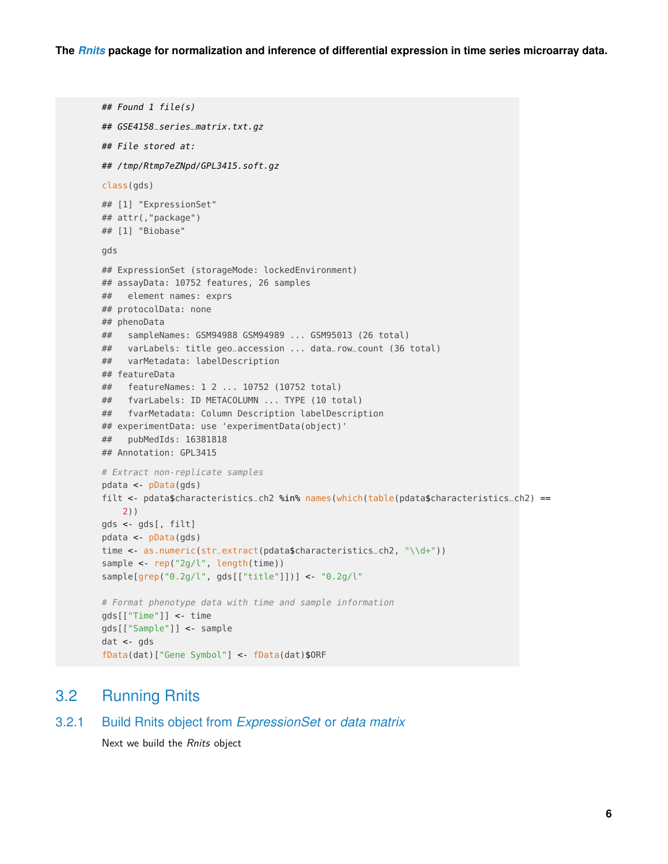```
## Found 1 file(s)
## GSE4158_series_matrix.txt.gz
## File stored at:
## /tmp/Rtmp7eZNpd/GPL3415.soft.gz
class(gds)
## [1] "ExpressionSet"
## attr(,"package")
## [1] "Biobase"
gds
## ExpressionSet (storageMode: lockedEnvironment)
## assayData: 10752 features, 26 samples
## element names: exprs
## protocolData: none
## phenoData
## sampleNames: GSM94988 GSM94989 ... GSM95013 (26 total)
## varLabels: title geo_accession ... data_row_count (36 total)
## varMetadata: labelDescription
## featureData
## featureNames: 1 2 ... 10752 (10752 total)
## fvarLabels: ID METACOLUMN ... TYPE (10 total)
## fvarMetadata: Column Description labelDescription
## experimentData: use 'experimentData(object)'
## pubMedIds: 16381818
## Annotation: GPL3415
# Extract non-replicate samples
pdata <- pData(gds)
filt <- pdata$characteristics_ch2 %in% names(which(table(pdata$characteristics_ch2) ==
    2))
gds <- gds[, filt]
pdata <- pData(gds)
time <- as.numeric(str_extract(pdata$characteristics_ch2, "\\d+"))
sample <- rep("2g/l", length(time))
sample[grep("0.2g/l", gds[["title"]])] <- "0.2g/l"
# Format phenotype data with time and sample information
gds[["Time"]] <- time
gds[["Sample"]] <- sample
dat <- gds
fData(dat)["Gene Symbol"] <- fData(dat)$ORF
```
## <span id="page-5-0"></span>3.2 Running Rnits

```
3.2.1 Build Rnits object from ExpressionSet or data matrix
```
<span id="page-5-1"></span>Next we build the Rnits object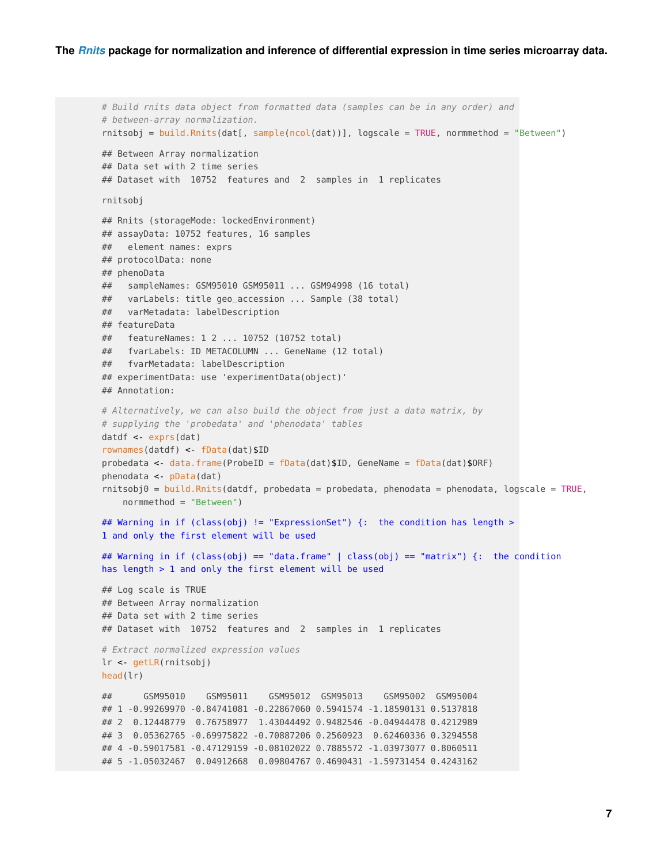```
# Build rnits data object from formatted data (samples can be in any order) and
# between-array normalization.
rntsobj = build.Rnits(data[, sample(ncol(data))], logscale = TRUE, normmethod = "Between")## Between Array normalization
## Data set with 2 time series
## Dataset with 10752 features and 2 samples in 1 replicates
rnitsobj
## Rnits (storageMode: lockedEnvironment)
## assayData: 10752 features, 16 samples
## element names: exprs
## protocolData: none
## phenoData
## sampleNames: GSM95010 GSM95011 ... GSM94998 (16 total)
## varLabels: title geo_accession ... Sample (38 total)
## varMetadata: labelDescription
## featureData
## featureNames: 1 2 ... 10752 (10752 total)
## fvarLabels: ID METACOLUMN ... GeneName (12 total)
## fvarMetadata: labelDescription
## experimentData: use 'experimentData(object)'
## Annotation:
# Alternatively, we can also build the object from just a data matrix, by
# supplying the 'probedata' and 'phenodata' tables
datdf <- exprs(dat)
rownames(datdf) <- fData(dat)$ID
probedata <- data.frame(ProbeID = fData(dat)$ID, GeneName = fData(dat)$ORF)
phenodata <- pData(dat)
rnitsobj0 = \text{build.Rnits}(datdf, probedata = probedata, phenodata = phenodata, logscale = TRUE,
    normmethod = "Between")
## Warning in if (class(obj) != "ExpressionSet") {: the condition has length >
1 and only the first element will be used
## Warning in if (class(obj) == "data.frame" | class(obj) == "matrix") {: the condition
has length > 1 and only the first element will be used
## Log scale is TRUE
## Between Array normalization
## Data set with 2 time series
## Dataset with 10752 features and 2 samples in 1 replicates
# Extract normalized expression values
lr <- getLR(rnitsobj)
head(lr)
## GSM95010 GSM95011 GSM95012 GSM95013 GSM95002 GSM95004
## 1 -0.99269970 -0.84741081 -0.22867060 0.5941574 -1.18590131 0.5137818
## 2 0.12448779 0.76758977 1.43044492 0.9482546 -0.04944478 0.4212989
## 3 0.05362765 -0.69975822 -0.70887206 0.2560923 0.62460336 0.3294558
## 4 -0.59017581 -0.47129159 -0.08102022 0.7885572 -1.03973077 0.8060511
## 5 -1.05032467 0.04912668 0.09804767 0.4690431 -1.59731454 0.4243162
```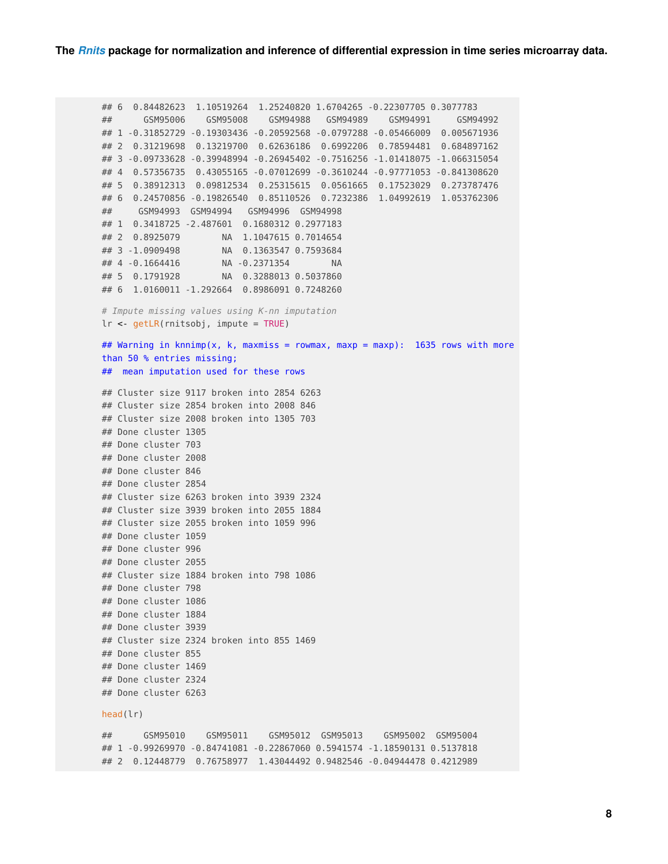## 6 0.84482623 1.10519264 1.25240820 1.6704265 -0.22307705 0.3077783 ## GSM95006 GSM95008 GSM94988 GSM94989 GSM94991 GSM94992 ## 1 -0.31852729 -0.19303436 -0.20592568 -0.0797288 -0.05466009 0.005671936 ## 2 0.31219698 0.13219700 0.62636186 0.6992206 0.78594481 0.684897162 ## 3 -0.09733628 -0.39948994 -0.26945402 -0.7516256 -1.01418075 -1.066315054 ## 4 0.57356735 0.43055165 -0.07012699 -0.3610244 -0.97771053 -0.841308620 ## 5 0.38912313 0.09812534 0.25315615 0.0561665 0.17523029 0.273787476 ## 6 0.24570856 -0.19826540 0.85110526 0.7232386 1.04992619 1.053762306 ## GSM94993 GSM94994 GSM94996 GSM94998 ## 1 0.3418725 -2.487601 0.1680312 0.2977183 ## 2 0.8925079 NA 1.1047615 0.7014654 ## 3 -1.0909498 NA 0.1363547 0.7593684 ## 4 -0.1664416 NA -0.2371354 NA ## 5 0.1791928 NA 0.3288013 0.5037860 ## 6 1.0160011 -1.292664 0.8986091 0.7248260 # Impute missing values using K-nn imputation lr <- getLR(rnitsobj, impute = TRUE) ## Warning in knnimp(x, k, maxmiss = rowmax, maxp = maxp): 1635 rows with more than 50 % entries missing; ## mean imputation used for these rows ## Cluster size 9117 broken into 2854 6263 ## Cluster size 2854 broken into 2008 846 ## Cluster size 2008 broken into 1305 703 ## Done cluster 1305 ## Done cluster 703 ## Done cluster 2008 ## Done cluster 846 ## Done cluster 2854 ## Cluster size 6263 broken into 3939 2324 ## Cluster size 3939 broken into 2055 1884 ## Cluster size 2055 broken into 1059 996 ## Done cluster 1059 ## Done cluster 996 ## Done cluster 2055 ## Cluster size 1884 broken into 798 1086 ## Done cluster 798 ## Done cluster 1086 ## Done cluster 1884 ## Done cluster 3939 ## Cluster size 2324 broken into 855 1469 ## Done cluster 855 ## Done cluster 1469 ## Done cluster 2324 ## Done cluster 6263 head(lr) ## GSM95010 GSM95011 GSM95012 GSM95013 GSM95002 GSM95004 ## 1 -0.99269970 -0.84741081 -0.22867060 0.5941574 -1.18590131 0.5137818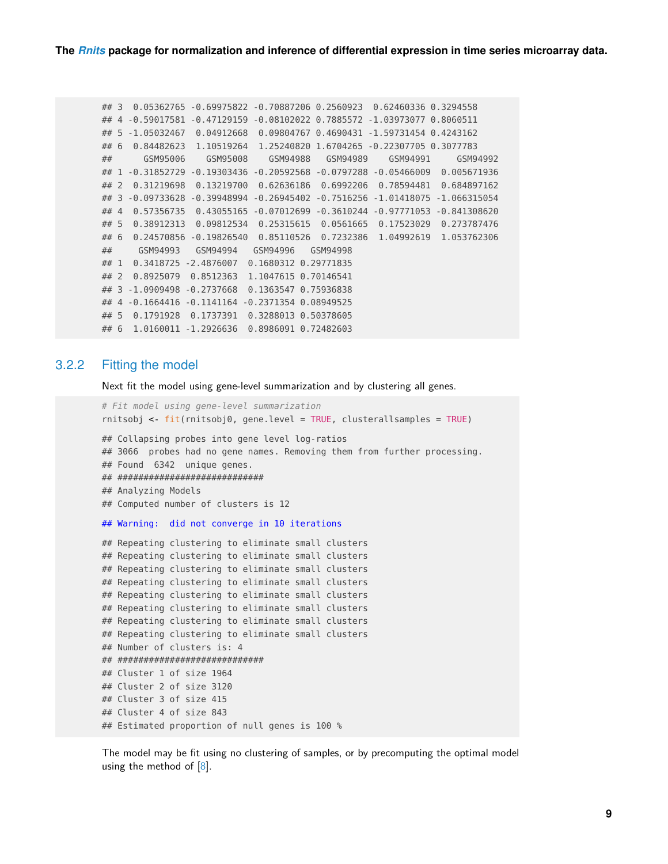```
## 3 0.05362765 -0.69975822 -0.70887206 0.2560923 0.62460336 0.3294558
## 4 -0.59017581 -0.47129159 -0.08102022 0.7885572 -1.03973077 0.8060511
## 5 -1.05032467 0.04912668 0.09804767 0.4690431 -1.59731454 0.4243162
## 6 0.84482623 1.10519264 1.25240820 1.6704265 -0.22307705 0.3077783
## GSM95006 GSM95008 GSM94988 GSM94989 GSM94991 GSM94992
## 1 -0.31852729 -0.19303436 -0.20592568 -0.0797288 -0.05466009 0.005671936
## 2 0.31219698 0.13219700 0.62636186 0.6992206 0.78594481 0.684897162
## 3 -0.09733628 -0.39948994 -0.26945402 -0.7516256 -1.01418075 -1.066315054
## 4 0.57356735 0.43055165 -0.07012699 -0.3610244 -0.97771053 -0.841308620
## 5 0.38912313 0.09812534 0.25315615 0.0561665 0.17523029 0.273787476
## 6 0.24570856 -0.19826540 0.85110526 0.7232386 1.04992619 1.053762306
## GSM94993 GSM94994 GSM94996 GSM94998
## 1 0.3418725 -2.4876007 0.1680312 0.29771835
## 2 0.8925079 0.8512363 1.1047615 0.70146541
## 3 -1.0909498 -0.2737668 0.1363547 0.75936838
## 4 -0.1664416 -0.1141164 -0.2371354 0.08949525
## 5 0.1791928 0.1737391 0.3288013 0.50378605
## 6 1.0160011 -1.2926636 0.8986091 0.72482603
```
### 3.2.2 Fitting the model

<span id="page-8-0"></span>Next fit the model using gene-level summarization and by clustering all genes.

```
# Fit model using gene-level summarization
rnitsobj <- fit(rnitsobj0, gene.level = TRUE, clusterallsamples = TRUE)
## Collapsing probes into gene level log-ratios
## 3066 probes had no gene names. Removing them from further processing.
## Found 6342 unique genes.
## ############################
## Analyzing Models
## Computed number of clusters is 12
## Warning: did not converge in 10 iterations
## Repeating clustering to eliminate small clusters
## Repeating clustering to eliminate small clusters
## Repeating clustering to eliminate small clusters
## Repeating clustering to eliminate small clusters
## Repeating clustering to eliminate small clusters
## Repeating clustering to eliminate small clusters
## Repeating clustering to eliminate small clusters
## Repeating clustering to eliminate small clusters
## Number of clusters is: 4
## ############################
## Cluster 1 of size 1964
## Cluster 2 of size 3120
## Cluster 3 of size 415
## Cluster 4 of size 843
## Estimated proportion of null genes is 100 %
```
The model may be fit using no clustering of samples, or by precomputing the optimal model using the method of  $[8]$ .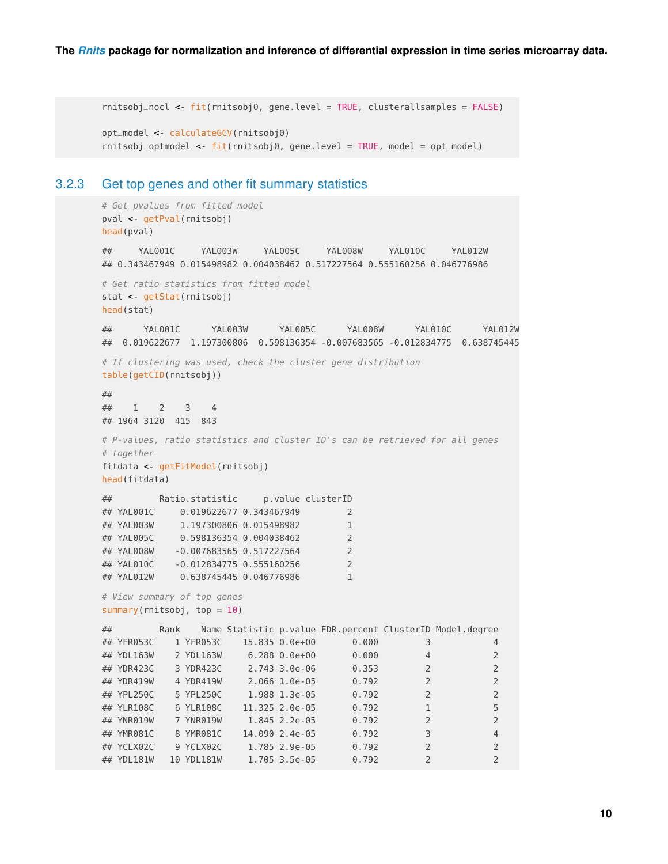```
rnitsobj_nocl <- fit(rnitsobj0, gene.level = TRUE, clusterallsamples = FALSE)
opt_model <- calculateGCV(rnitsobj0)
rnitsobj_optmodel <- fit(rnitsobj0, gene.level = TRUE, model = opt_model)
```
### 3.2.3 Get top genes and other fit summary statistics

```
# Get pvalues from fitted model
pval <- getPval(rnitsobj)
head(pval)
## YAL001C YAL003W YAL005C YAL008W YAL010C YAL012W
## 0.343467949 0.015498982 0.004038462 0.517227564 0.555160256 0.046776986
# Get ratio statistics from fitted model
stat <- getStat(rnitsobj)
head(stat)
## YAL001C YAL003W YAL005C YAL008W YAL010C YAL012W
## 0.019622677 1.197300806 0.598136354 -0.007683565 -0.012834775 0.638745445
# If clustering was used, check the cluster gene distribution
table(getCID(rnitsobj))
##
## 1 2 3 4
## 1964 3120 415 843
# P-values, ratio statistics and cluster ID's can be retrieved for all genes
# together
fitdata <- getFitModel(rnitsobj)
head(fitdata)
## Ratio.statistic p.value clusterID
## YAL001C 0.019622677 0.343467949 2
## YAL003W 1.197300806 0.015498982 1
## YAL005C 0.598136354 0.004038462 2
## YAL008W -0.007683565 0.517227564 2
## YAL010C -0.012834775 0.555160256 2
## YAL012W 0.638745445 0.046776986 1
# View summary of top genes
summary(rnitsobj, top = 10)
## Rank Name Statistic p.value FDR.percent ClusterID Model.degree
## YFR053C 1 YFR053C 15.835 0.0e+00 0.000 3 4
## YDL163W 2 YDL163W 6.288 0.0e+00 0.000 4 2
## YDR423C 3 YDR423C 2.743 3.0e-06 0.353 2 2
## YDR419W 4 YDR419W 2.066 1.0e-05 0.792 2 2
## YPL250C 5 YPL250C 1.988 1.3e-05 0.792 2 2
## YLR108C 6 YLR108C 11.325 2.0e-05 0.792 1 5
## YNR019W 7 YNR019W 1.845 2.2e-05 0.792 2 2
## YMR081C 8 YMR081C 14.090 2.4e-05 0.792 3 4
## YCLX02C 9 YCLX02C 1.785 2.9e-05 0.792 2 2
## YDL181W 10 YDL181W 1.705 3.5e-05 0.792 2 2
```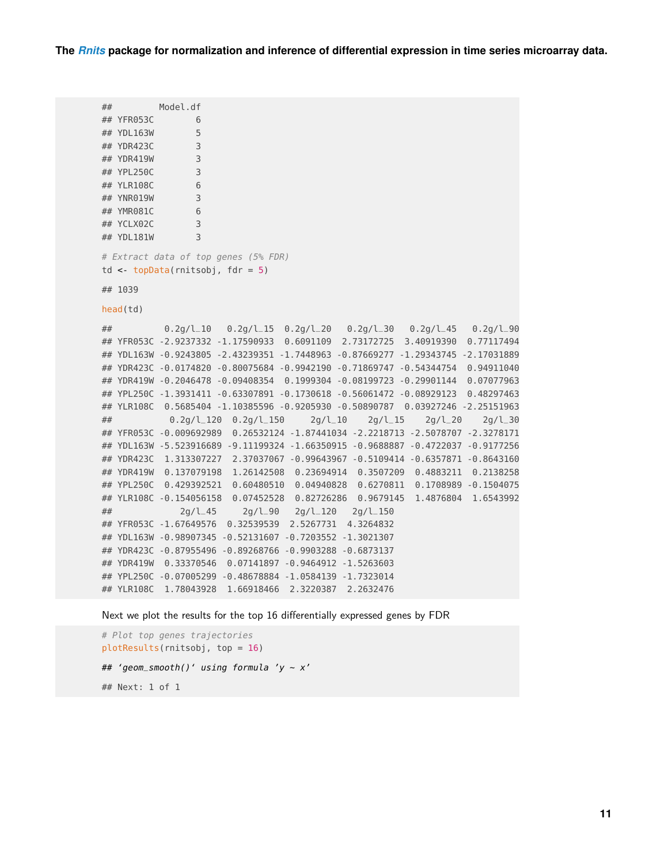**The** *[Rnits](http://bioconductor.org/packages/Rnits)* **package for normalization and inference of differential expression in time series microarray data.**

```
## Model.df
## YFR053C 6
## YDL163W 5
## YDR423C 3
## YDR419W 3
## YPL250C 3
## YLR108C 6
## YNR019W 3
## YMR081C 6
## YCLX02C 3
## YDL181W 3
# Extract data of top genes (5% FDR)
td <- topData(rnitsobj, fdr = 5)
## 1039
head(td)
## 0.2g/l_10 0.2g/l_15 0.2g/l_20 0.2g/l_30 0.2g/l_45 0.2g/l_90
## YFR053C -2.9237332 -1.17590933 0.6091109 2.73172725 3.40919390 0.77117494
## YDL163W -0.9243805 -2.43239351 -1.7448963 -0.87669277 -1.29343745 -2.17031889
## YDR423C -0.0174820 -0.80075684 -0.9942190 -0.71869747 -0.54344754 0.94911040
## YDR419W -0.2046478 -0.09408354 0.1999304 -0.08199723 -0.29901144 0.07077963
## YPL250C -1.3931411 -0.63307891 -0.1730618 -0.56061472 -0.08929123 0.48297463
## YLR108C 0.5685404 -1.10385596 -0.9205930 -0.50890787 0.03927246 -2.25151963
## 0.2g/l_120 0.2g/l_150 2g/l_10 2g/l_15 2g/l_20 2g/l_30
## YFR053C -0.009692989 0.26532124 -1.87441034 -2.2218713 -2.5078707 -2.3278171
## YDL163W -5.523916689 -9.11199324 -1.66350915 -0.9688887 -0.4722037 -0.9177256
## YDR423C 1.313307227 2.37037067 -0.99643967 -0.5109414 -0.6357871 -0.8643160
## YDR419W 0.137079198 1.26142508 0.23694914 0.3507209 0.4883211 0.2138258
## YPL250C 0.429392521 0.60480510 0.04940828 0.6270811 0.1708989 -0.1504075
## YLR108C -0.154056158 0.07452528 0.82726286 0.9679145 1.4876804 1.6543992
## 2g/l_45 2g/l_90 2g/l_120 2g/l_150
## YFR053C -1.67649576 0.32539539 2.5267731 4.3264832
## YDL163W -0.98907345 -0.52131607 -0.7203552 -1.3021307
## YDR423C -0.87955496 -0.89268766 -0.9903288 -0.6873137
## YDR419W 0.33370546 0.07141897 -0.9464912 -1.5263603
## YPL250C -0.07005299 -0.48678884 -1.0584139 -1.7323014
## YLR108C 1.78043928 1.66918466 2.3220387 2.2632476
```
Next we plot the results for the top 16 differentially expressed genes by FDR

```
# Plot top genes trajectories
plotResults(rnitsobj, top = 16)
## 'geom_smooth()' using formula 'y ~ x'## Next: 1 of 1
```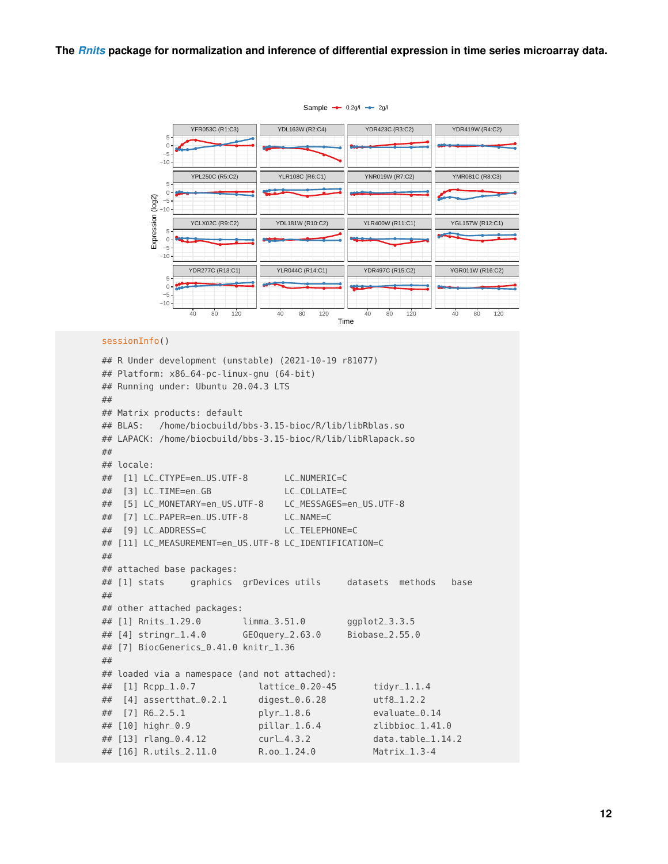

#### sessionInfo()

```
## R Under development (unstable) (2021-10-19 r81077)
## Platform: x86_64-pc-linux-gnu (64-bit)
## Running under: Ubuntu 20.04.3 LTS
##
## Matrix products: default
## BLAS: /home/biocbuild/bbs-3.15-bioc/R/lib/libRblas.so
## LAPACK: /home/biocbuild/bbs-3.15-bioc/R/lib/libRlapack.so
##
## locale:
## [1] LC_CTYPE=en_US.UTF-8 LC_NUMERIC=C
## [3] LC_TIME=en_GB LC_COLLATE=C
## [5] LC_MONETARY=en_US.UTF-8 LC_MESSAGES=en_US.UTF-8
## [7] LC_PAPER=en_US.UTF-8 LC_NAME=C
## [9] LC_ADDRESS=C LC_TELEPHONE=C
## [11] LC_MEASUREMENT=en_US.UTF-8 LC_IDENTIFICATION=C
##
## attached base packages:
## [1] stats graphics grDevices utils datasets methods base
##
## other attached packages:
## [1] Rnits_1.29.0 limma_3.51.0 ggplot2_3.3.5
## [4] stringr_1.4.0 GEOquery_2.63.0 Biobase_2.55.0
## [7] BiocGenerics_0.41.0 knitr_1.36
##
## loaded via a namespace (and not attached):
## [1] Rcpp_1.0.7 lattice_0.20-45 tidyr_1.1.4
## [4] assertthat_0.2.1 digest_0.6.28 utf8_1.2.2
## [7] R6_2.5.1 plyr_1.8.6 evaluate_0.14
## [10] highr_0.9 pillar_1.6.4 zlibbioc_1.41.0
## [13] rlang_0.4.12 curl_4.3.2 data.table_1.14.2
## [16] R.utils_2.11.0 R.oo_1.24.0 Matrix_1.3-4
```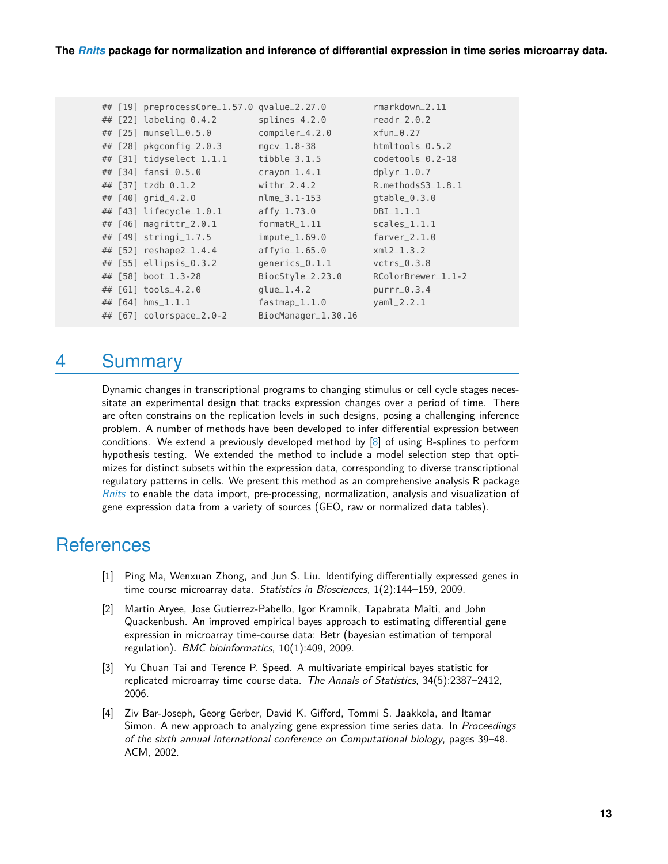|  | ## [19] preprocessCore_1.57.0 qvalue_2.27.0 |                     | $r$ markdown $2.11$ |
|--|---------------------------------------------|---------------------|---------------------|
|  | ## [22] labeling_0.4.2                      | $splines_4.2.0$     | readr $-2.0.2$      |
|  | ## [25] munsell_0.5.0                       | compiler_4.2.0      | $xfun_0.27$         |
|  | ## $[28]$ pkgconfig $2.0.3$                 | $mgcv_1.8-38$       | htmltools_0.5.2     |
|  | ## [31] tidyselect_1.1.1                    | $tibble_3.1.5$      | $codetools_0.2-18$  |
|  | ## [34] fansi_0.5.0                         | $crayon_1.4.1$      | $dplyr_1.0.7$       |
|  | ## [37] tzdb_0.1.2                          | $with r = 2.4.2$    | R.methodsS3_1.8.1   |
|  | ## $[40]$ grid_4.2.0                        | nlme_3.1-153        | $qtable_0.3.0$      |
|  | ## [43] lifecycle_1.0.1                     | $affy_1.73.0$       | $DBI_1, 1, 1$       |
|  | ## [46] magrittr_2.0.1                      | formatR_1.11        | $scales_1, 1, 1$    |
|  | ## [49] stringi_1.7.5                       | $impute_1.69.0$     | $farver_2.1.0$      |
|  | ## [52] reshape2_1.4.4                      | $affvio_1.65.0$     | $xml2_1.3.2$        |
|  | ## [55] ellipsis_0.3.2                      | generics_0.1.1      | $vctrs_0.3.8$       |
|  | ## [58] boot_1.3-28                         | BiocStyle_2.23.0    | RColorBrewer_1.1-2  |
|  | ## [61] tools_4.2.0                         | $glue_1.4.2$        | $purr_0.3.4$        |
|  | ## $[64]$ hms_1.1.1                         | $fastmap_1.1.0$     | $yamL_2.2.1$        |
|  | ## [67] colorspace_2.0-2                    | BiocManager_1.30.16 |                     |

# <span id="page-12-0"></span>4 Summary

Dynamic changes in transcriptional programs to changing stimulus or cell cycle stages necessitate an experimental design that tracks expression changes over a period of time. There are often constrains on the replication levels in such designs, posing a challenging inference problem. A number of methods have been developed to infer differential expression between conditions. We extend a previously developed method by  $[8]$  of using B-splines to perform hypothesis testing. We extended the method to include a model selection step that optimizes for distinct subsets within the expression data, corresponding to diverse transcriptional regulatory patterns in cells. We present this method as an comprehensive analysis R package [Rnits](http://bioconductor.org/packages/Rnits) to enable the data import, pre-processing, normalization, analysis and visualization of gene expression data from a variety of sources (GEO, raw or normalized data tables).

# **References**

- <span id="page-12-1"></span>[1] Ping Ma, Wenxuan Zhong, and Jun S. Liu. Identifying differentially expressed genes in time course microarray data. Statistics in Biosciences, 1(2):144–159, 2009.
- <span id="page-12-2"></span>[2] Martin Aryee, Jose Gutierrez-Pabello, Igor Kramnik, Tapabrata Maiti, and John Quackenbush. An improved empirical bayes approach to estimating differential gene expression in microarray time-course data: Betr (bayesian estimation of temporal regulation). BMC bioinformatics, 10(1):409, 2009.
- <span id="page-12-3"></span>[3] Yu Chuan Tai and Terence P. Speed. A multivariate empirical bayes statistic for replicated microarray time course data. The Annals of Statistics, 34(5):2387–2412, 2006.
- <span id="page-12-4"></span>[4] Ziv Bar-Joseph, Georg Gerber, David K. Gifford, Tommi S. Jaakkola, and Itamar Simon. A new approach to analyzing gene expression time series data. In Proceedings of the sixth annual international conference on Computational biology, pages 39–48. ACM, 2002.